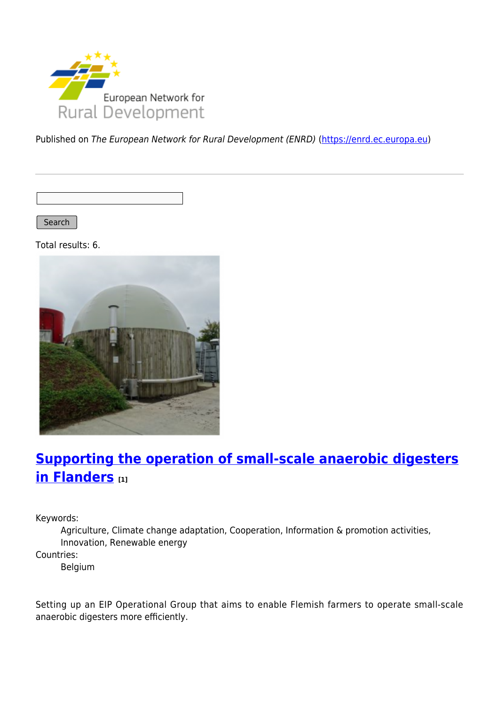

Published on The European Network for Rural Development (ENRD) [\(https://enrd.ec.europa.eu](https://enrd.ec.europa.eu))

Search

Total results: 6.



# **[Supporting the operation of small-scale anaerobic digesters](https://enrd.ec.europa.eu/projects-practice/supporting-operation-small-scale-anaerobic-digesters-flanders_en) [in Flanders](https://enrd.ec.europa.eu/projects-practice/supporting-operation-small-scale-anaerobic-digesters-flanders_en) [1]**

Keywords:

Agriculture, Climate change adaptation, Cooperation, Information & promotion activities, Innovation, Renewable energy

Countries:

Belgium

Setting up an EIP Operational Group that aims to enable Flemish farmers to operate small-scale anaerobic digesters more efficiently.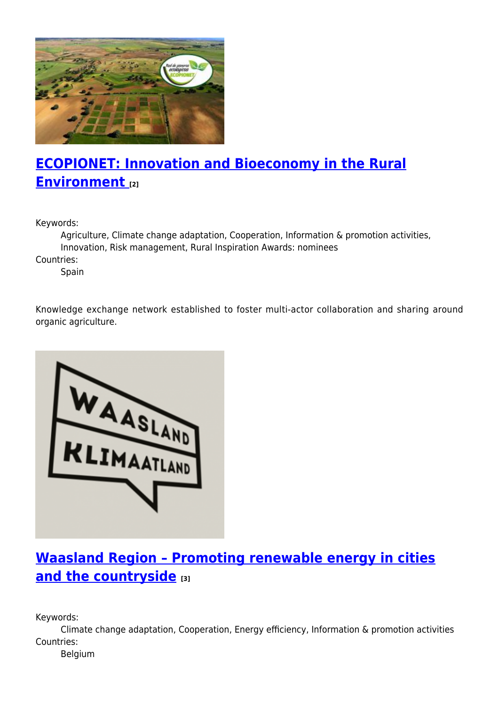

# **[ECOPIONET: Innovation and Bioeconomy in the Rural](https://enrd.ec.europa.eu/projects-practice/ecopionet-innovation-and-bioeconomy-rural-environment_en) [Environment](https://enrd.ec.europa.eu/projects-practice/ecopionet-innovation-and-bioeconomy-rural-environment_en) [2]**

Keywords:

Agriculture, Climate change adaptation, Cooperation, Information & promotion activities, Innovation, Risk management, Rural Inspiration Awards: nominees

Countries:

Spain

Knowledge exchange network established to foster multi-actor collaboration and sharing around organic agriculture.



# **[Waasland Region – Promoting renewable energy in cities](https://enrd.ec.europa.eu/projects-practice/waasland-region-promoting-renewable-energy-cities-and-countryside_en) [and the countryside](https://enrd.ec.europa.eu/projects-practice/waasland-region-promoting-renewable-energy-cities-and-countryside_en) [3]**

Keywords:

Climate change adaptation, Cooperation, Energy efficiency, Information & promotion activities Countries:

Belgium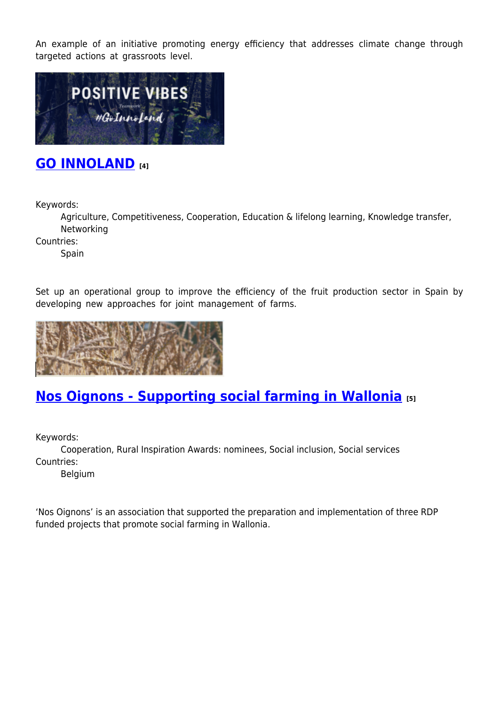An example of an initiative promoting energy efficiency that addresses climate change through targeted actions at grassroots level.



### **[GO INNOLAND](https://enrd.ec.europa.eu/projects-practice/go-innoland_en) [4]**

Keywords:

Agriculture, Competitiveness, Cooperation, Education & lifelong learning, Knowledge transfer, Networking

Countries:

**Spain** 

Set up an operational group to improve the efficiency of the fruit production sector in Spain by developing new approaches for joint management of farms.



### **[Nos Oignons - Supporting social farming in Wallonia](https://enrd.ec.europa.eu/projects-practice/nos-oignons-supporting-social-farming-wallonia_en) [5]**

Keywords:

Cooperation, Rural Inspiration Awards: nominees, Social inclusion, Social services Countries:

Belgium

'Nos Oignons' is an association that supported the preparation and implementation of three RDP funded projects that promote social farming in Wallonia.